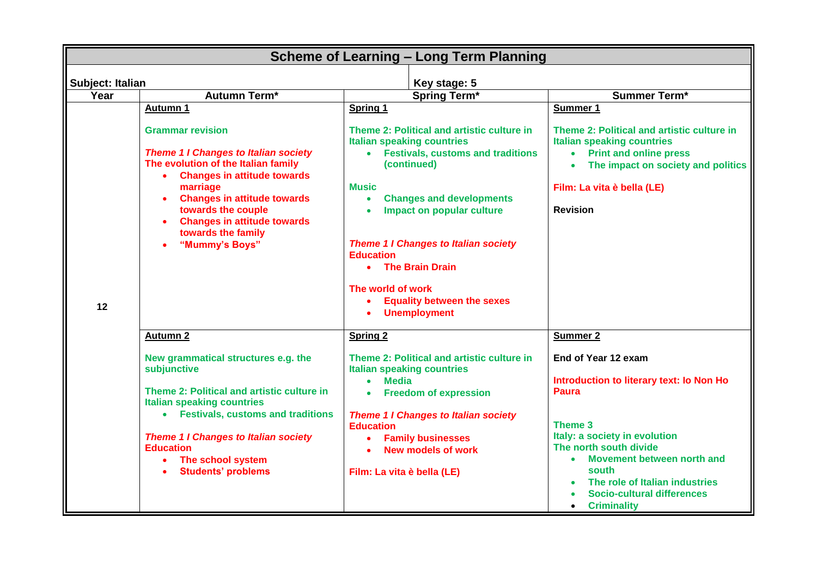| <b>Scheme of Learning - Long Term Planning</b>         |                                                                                                                                                                                                                                                                                                                |                                                                                                                                                                                                                                                                                                                                                                                                                                                 |                                                                                                                                                                                                                                                                                                        |  |  |
|--------------------------------------------------------|----------------------------------------------------------------------------------------------------------------------------------------------------------------------------------------------------------------------------------------------------------------------------------------------------------------|-------------------------------------------------------------------------------------------------------------------------------------------------------------------------------------------------------------------------------------------------------------------------------------------------------------------------------------------------------------------------------------------------------------------------------------------------|--------------------------------------------------------------------------------------------------------------------------------------------------------------------------------------------------------------------------------------------------------------------------------------------------------|--|--|
| Key stage: 5                                           |                                                                                                                                                                                                                                                                                                                |                                                                                                                                                                                                                                                                                                                                                                                                                                                 |                                                                                                                                                                                                                                                                                                        |  |  |
| <b>Subject: Italian</b><br>Year<br><b>Autumn Term*</b> |                                                                                                                                                                                                                                                                                                                | <b>Spring Term*</b>                                                                                                                                                                                                                                                                                                                                                                                                                             | <b>Summer Term*</b>                                                                                                                                                                                                                                                                                    |  |  |
|                                                        | Autumn 1                                                                                                                                                                                                                                                                                                       | Spring 1                                                                                                                                                                                                                                                                                                                                                                                                                                        | Summer 1                                                                                                                                                                                                                                                                                               |  |  |
| 12                                                     | <b>Grammar revision</b><br><b>Theme 1 I Changes to Italian society</b><br>The evolution of the Italian family<br><b>Changes in attitude towards</b><br>marriage<br><b>Changes in attitude towards</b><br>towards the couple<br><b>Changes in attitude towards</b><br>towards the family<br>"Mummy's Boys"      | Theme 2: Political and artistic culture in<br><b>Italian speaking countries</b><br><b>Festivals, customs and traditions</b><br>$\bullet$<br>(continued)<br><b>Music</b><br><b>Changes and developments</b><br>$\bullet$<br>Impact on popular culture<br><b>Theme 1 I Changes to Italian society</b><br><b>Education</b><br><b>The Brain Drain</b><br>$\bullet$<br>The world of work<br><b>Equality between the sexes</b><br><b>Unemployment</b> | Theme 2: Political and artistic culture in<br><b>Italian speaking countries</b><br><b>Print and online press</b><br>$\bullet$<br>The impact on society and politics<br>Film: La vita è bella (LE)<br><b>Revision</b>                                                                                   |  |  |
|                                                        | <b>Autumn 2</b>                                                                                                                                                                                                                                                                                                | <b>Spring 2</b>                                                                                                                                                                                                                                                                                                                                                                                                                                 | <b>Summer 2</b>                                                                                                                                                                                                                                                                                        |  |  |
|                                                        | New grammatical structures e.g. the<br>subjunctive<br>Theme 2: Political and artistic culture in<br><b>Italian speaking countries</b><br>• Festivals, customs and traditions<br><b>Theme 1 I Changes to Italian society</b><br><b>Education</b><br>The school system<br>$\bullet$<br><b>Students' problems</b> | Theme 2: Political and artistic culture in<br><b>Italian speaking countries</b><br><b>Media</b><br>$\bullet$<br><b>Freedom of expression</b><br><b>Theme 1 I Changes to Italian society</b><br><b>Education</b><br><b>Family businesses</b><br><b>New models of work</b><br>Film: La vita è bella (LE)                                                                                                                                          | End of Year 12 exam<br>Introduction to literary text: Io Non Ho<br><b>Paura</b><br>Theme 3<br>Italy: a society in evolution<br>The north south divide<br>Movement between north and<br>$\bullet$<br>south<br>The role of Italian industries<br><b>Socio-cultural differences</b><br><b>Criminality</b> |  |  |